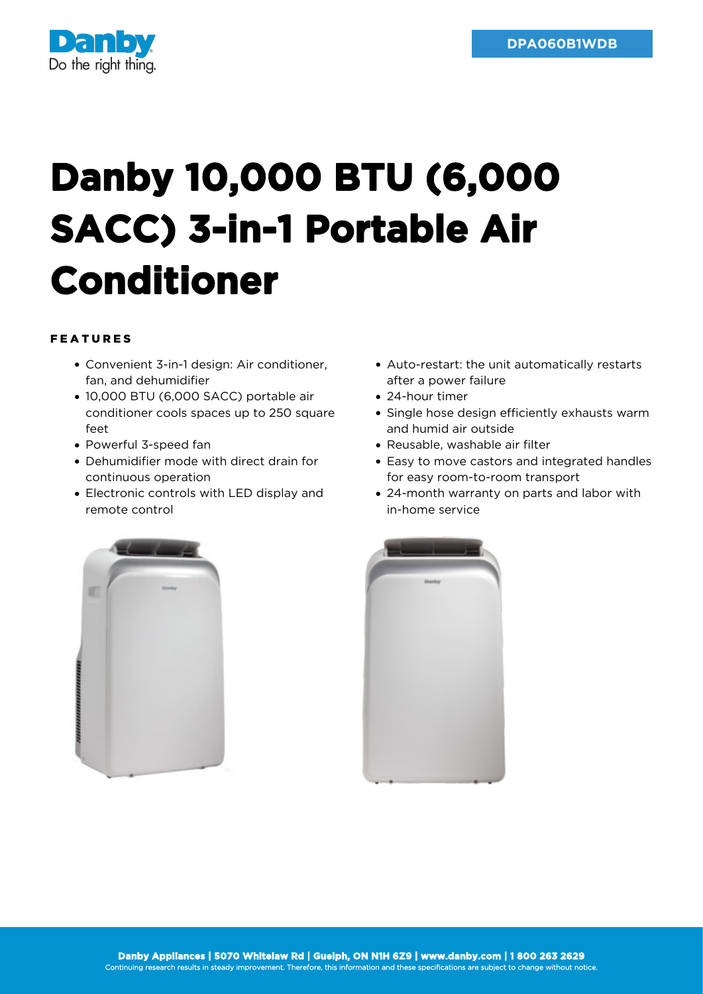

## **Danby 10,000 BTU (6,000 SACC) 3-in-1 Portable Air Conditioner**

## FEATURES

- Convenient 3-in-1 design: Air conditioner, fan, and dehumidifier
- 10,000 BTU (6,000 SACC) portable air conditioner cools spaces up to 250 square  $f$  $\alpha$
- Powerful 3-speed fan
- Dehumidifier mode with direct drain for continuous operation
- Electronic controls with LED display and remote control
- Auto-restart: the unit automatically restarts after a power failure
- 24-hour timer
- Single hose design efficiently exhausts warm and humid air outside
- Reusable, washable air filter
- Easy to move castors and integrated handles for easy room-to-room transport
- 24-month warranty on parts and labor with in-home service